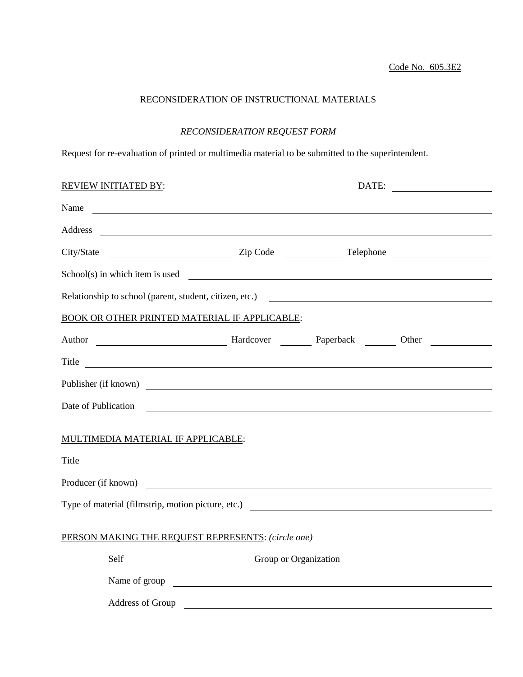## RECONSIDERATION OF INSTRUCTIONAL MATERIALS

## *RECONSIDERATION REQUEST FORM*

Request for re-evaluation of printed or multimedia material to be submitted to the superintendent.

| <b>REVIEW INITIATED BY:</b>                                                                                                                                                                                                    |                                                                                                                      | DATE:<br><u> 1990 - Jan Barbara Barat, prima politik (</u> |  |
|--------------------------------------------------------------------------------------------------------------------------------------------------------------------------------------------------------------------------------|----------------------------------------------------------------------------------------------------------------------|------------------------------------------------------------|--|
| Name                                                                                                                                                                                                                           |                                                                                                                      |                                                            |  |
|                                                                                                                                                                                                                                |                                                                                                                      |                                                            |  |
|                                                                                                                                                                                                                                |                                                                                                                      |                                                            |  |
| $School(s)$ in which item is used $\qquad \qquad$                                                                                                                                                                              |                                                                                                                      |                                                            |  |
| Relationship to school (parent, student, citizen, etc.)                                                                                                                                                                        |                                                                                                                      |                                                            |  |
| BOOK OR OTHER PRINTED MATERIAL IF APPLICABLE:                                                                                                                                                                                  |                                                                                                                      |                                                            |  |
| Author March 2012 March 2014 Hardcover March 2014 Paperback March 2016 March 2016 March 2016 March 2016 March 2016 March 2016 March 2016 March 2016 March 2016 March 2017 March 2017 March 2017 March 2017 March 2017 March 20 |                                                                                                                      |                                                            |  |
| Title<br><u> 1989 - Johann Stoff, deutscher Stoff, der Stoff, der Stoff, der Stoff, der Stoff, der Stoff, der Stoff, der S</u>                                                                                                 |                                                                                                                      |                                                            |  |
| Publisher (if known)                                                                                                                                                                                                           |                                                                                                                      |                                                            |  |
| Date of Publication                                                                                                                                                                                                            | <u> 1989 - Johann John Stein, markin fan it ferstjer fan de ferstjer fan it ferstjer fan de ferstjer fan de fers</u> |                                                            |  |
| MULTIMEDIA MATERIAL IF APPLICABLE:                                                                                                                                                                                             |                                                                                                                      |                                                            |  |
| Title                                                                                                                                                                                                                          |                                                                                                                      |                                                            |  |
| Producer (if known)                                                                                                                                                                                                            |                                                                                                                      |                                                            |  |
|                                                                                                                                                                                                                                |                                                                                                                      |                                                            |  |
|                                                                                                                                                                                                                                |                                                                                                                      |                                                            |  |
| PERSON MAKING THE REQUEST REPRESENTS: (circle one)                                                                                                                                                                             |                                                                                                                      |                                                            |  |
| Self                                                                                                                                                                                                                           | Group or Organization                                                                                                |                                                            |  |
|                                                                                                                                                                                                                                |                                                                                                                      |                                                            |  |
| Address of Group                                                                                                                                                                                                               |                                                                                                                      |                                                            |  |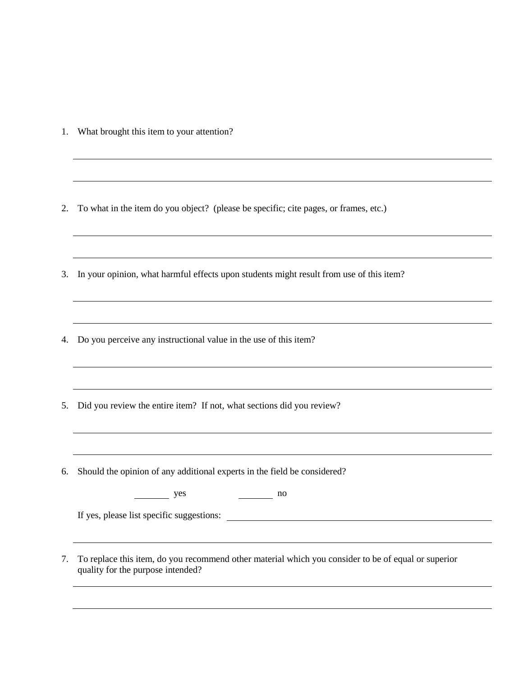1. What brought this item to your attention?

2. To what in the item do you object? (please be specific; cite pages, or frames, etc.)

3. In your opinion, what harmful effects upon students might result from use of this item?

4. Do you perceive any instructional value in the use of this item?

5. Did you review the entire item? If not, what sections did you review?

6. Should the opinion of any additional experts in the field be considered?

yes no

If yes, please list specific suggestions:

7. To replace this item, do you recommend other material which you consider to be of equal or superior quality for the purpose intended?